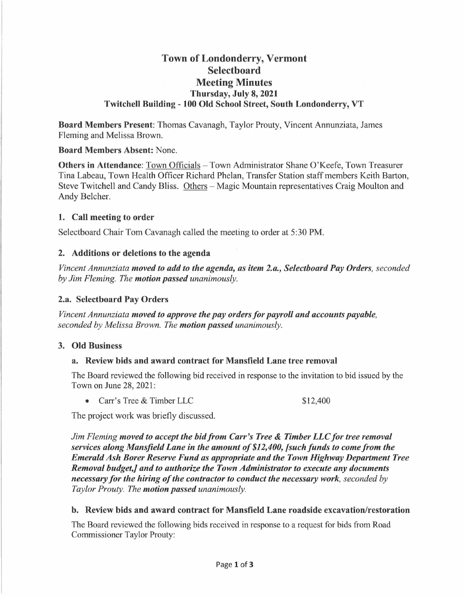# **Town of Londonderry, Vermont Selectboard Meeting Minutes Thursday, July 8, 2021 Twitchell Building - 100 Old School Street, South Londonderry, VT**

**Board Members Present:** Thomas Cavanagh, Taylor Prouty, Vincent Annunziata, James Fleming and Melissa Brown.

#### **Board Members Absent:** None.

**Others in Attendance:** Town Officials - Town Administrator Shane O'Keefe, Town Treasurer Tina Labeau, Town Health Officer Richard Phelan, Transfer Station staff members Keith Barton, Steve Twitchell and Candy Bliss. Others – Magic Mountain representatives Craig Moulton and Andy Belcher.

#### **1. Call meeting to order**

Selectboard Chair Tom Cavanagh called the meeting to order at 5:30 PM.

### **2. Additions or deletions to the agenda**

*Vincent Annunziata moved to add to the agenda, as item 2.a., Selectboard Pay Orders, seconded by Jim Fleming. The motion passed unanimously.* 

#### **2.a. Selectboard Pay Orders**

*Vincent Annunziata moved to approve the pay orders for payroll and accounts payable, seconded by Melissa Brown. The motion passed unanimously.* 

#### **3. Old Business**

## **a. Review bids and award contract for Mansfield Lane tree removal**

The Board reviewed the following bid received in response to the invitation to bid issued by the Town on June 28, 2021:

• Carr's Tree & Timber LLC

\$12,400

The project work was briefly discussed.

*Jim Fleming moved to accept the bid from Carr's Tree* & *Timber LLC for tree removal services along Mansfield Lane in the amount of \$12,400, [such funds to come from the Emerald Ash Borer Reserve Fund as appropriate and the Town Highway Department Tree Removal budget,] and to authorize the Town Administrator to execute any documents necessary for the hiring of the contractor to conduct the necessary work, seconded by Taylor Prouty. The motion passed unanimously.* 

#### **b. Review bids and award contract for Mansfield Lane roadside excavation/restoration**

The Board reviewed the following bids received in response to a request for bids from Road Commissioner Taylor Prouty: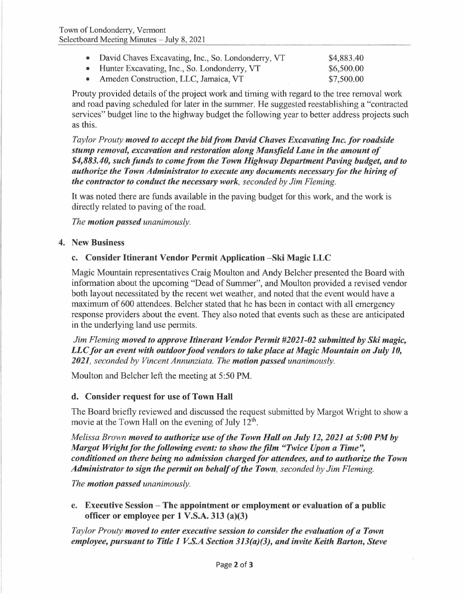| • David Chaves Excavating, Inc., So. Londonderry, VT | \$4,883.40 |
|------------------------------------------------------|------------|
| • Hunter Excavating, Inc., So. Londonderry, VT       | \$6,500.00 |
| Ameden Construction, LLC, Jamaica, VT                | \$7,500.00 |

Prouty provided details of the project work and timing with regard to the tree removal work and road paving scheduled for later in the summer. He suggested reestablishing a "contracted services" budget line to the highway budget the following year to better address projects such as this.

*Taylor Prouty moved to accept the bid from David Chaves Excavating Inc. for roadside stump removal, excavation and restoration along Mansfield Lane in the amount of \$4,883.40, such funds to come from the Town Highway Department Paving budget, and to authorize the Town Administrator to execute any documents necessary for the hiring of the contractor to conduct the necessary work, seconded by Jim Fleming.* 

It was noted there are funds available in the paving budget for this work, and the work is directly related to paving of the road.

*The motion passed unanimously.* 

### **4. New Business**

#### **c. Consider Itinerant Vendor Permit Application -Ski Magic LLC**

Magic Mountain representatives Craig Moulton and Andy Belcher presented the Board with information about the upcoming "Dead of Summer", and Moulton provided a revised vendor both layout necessitated by the recent wet weather, and noted that the event would have a maximum of 600 attendees. Belcher stated that he has been in contact with all emergency response providers about the event. They also noted that events such as these are anticipated in the underlying land use permits,

*Jim Fleming moved to approve Itinerant Vendor Permit #2021-02 submitted by Ski magic, LLC for an event with outdoor food vendors to take place at Magic Mountain on July 10, 2021, seconded by Vincent Annunziata. The motion passed unanimously.* 

Moulton and Belcher left the meeting at 5:50 PM.

#### **d. Consider request for use of Town Hall**

The Board briefly reviewed and discussed the request submitted by Margot Wright to show a movie at the Town Hall on the evening of July  $12^{\text{th}}$ .

*Melissa Brown moved to authorize use of the Town Hall on July 12, 2021 at 5:00 PM by Margot Wright for the following event: to show the film "Twice Upon a Time", conditioned on there being no admission charged for attendees, and to authorize the Town Administrator to sign the permit on behalf of the Town, seconded by Jim Fleming.* 

*The motion passed unanimously.* 

**e. Executive Session - The appointment or employment or evaluation of a public officer or employee per 1 V.S.A. 313 (a)(3)** 

*Taylor Prouty moved to enter executive session to consider the evaluation of a Town employee, pursuant to Title 1 V.S.A Section 313(a)(3), and invite Keith Barton, Steve*